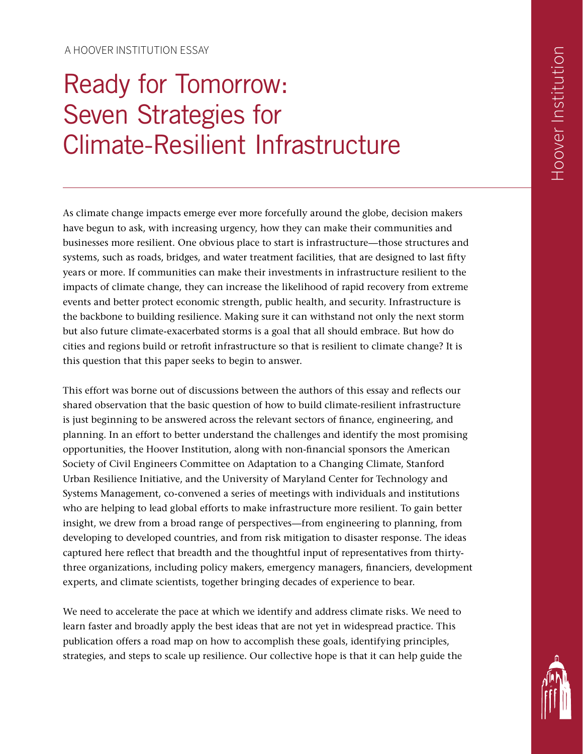A HOOVER INSTITUTION ESSAY

# Ready for Tomorrow: Seven Strategies for Climate-Resilient Infrastructure

As climate change impacts emerge ever more forcefully around the globe, decision makers have begun to ask, with increasing urgency, how they can make their communities and businesses more resilient. One obvious place to start is infrastructure—those structures and systems, such as roads, bridges, and water treatment facilities, that are designed to last fifty years or more. If communities can make their investments in infrastructure resilient to the impacts of climate change, they can increase the likelihood of rapid recovery from extreme events and better protect economic strength, public health, and security. Infrastructure is the backbone to building resilience. Making sure it can withstand not only the next storm but also future climate-exacerbated storms is a goal that all should embrace. But how do cities and regions build or retrofit infrastructure so that is resilient to climate change? It is this question that this paper seeks to begin to answer.

This effort was borne out of discussions between the authors of this essay and reflects our shared observation that the basic question of how to build climate-resilient infrastructure is just beginning to be answered across the relevant sectors of finance, engineering, and planning. In an effort to better understand the challenges and identify the most promising opportunities, the Hoover Institution, along with non-financial sponsors the American Society of Civil Engineers Committee on Adaptation to a Changing Climate, Stanford Urban Resilience Initiative, and the University of Maryland Center for Technology and Systems Management, co-convened a series of meetings with individuals and institutions who are helping to lead global efforts to make infrastructure more resilient. To gain better insight, we drew from a broad range of perspectives—from engineering to planning, from developing to developed countries, and from risk mitigation to disaster response. The ideas captured here reflect that breadth and the thoughtful input of representatives from thirtythree organizations, including policy makers, emergency managers, financiers, development experts, and climate scientists, together bringing decades of experience to bear.

We need to accelerate the pace at which we identify and address climate risks. We need to learn faster and broadly apply the best ideas that are not yet in widespread practice. This publication offers a road map on how to accomplish these goals, identifying principles, strategies, and steps to scale up resilience. Our collective hope is that it can help guide the

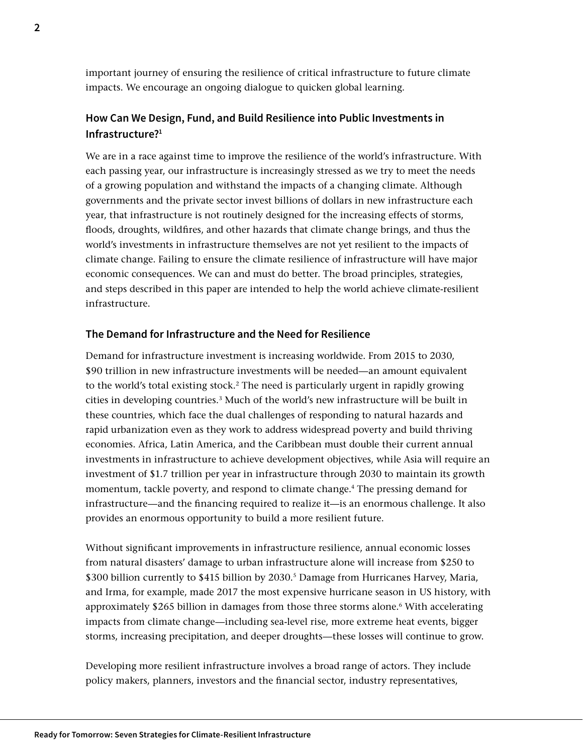important journey of ensuring the resilience of critical infrastructure to future climate impacts. We encourage an ongoing dialogue to quicken global learning.

## **How Can We Design, Fund, and Build Resilience into Public Investments in Infrastructure?1**

We are in a race against time to improve the resilience of the world's infrastructure. With each passing year, our infrastructure is increasingly stressed as we try to meet the needs of a growing population and withstand the impacts of a changing climate. Although governments and the private sector invest billions of dollars in new infrastructure each year, that infrastructure is not routinely designed for the increasing effects of storms, floods, droughts, wildfires, and other hazards that climate change brings, and thus the world's investments in infrastructure themselves are not yet resilient to the impacts of climate change. Failing to ensure the climate resilience of infrastructure will have major economic consequences. We can and must do better. The broad principles, strategies, and steps described in this paper are intended to help the world achieve climate-resilient infrastructure.

## **The Demand for Infrastructure and the Need for Resilience**

Demand for infrastructure investment is increasing worldwide. From 2015 to 2030, \$90 trillion in new infrastructure investments will be needed—an amount equivalent to the world's total existing stock.2 The need is particularly urgent in rapidly growing cities in developing countries.3 Much of the world's new infrastructure will be built in these countries, which face the dual challenges of responding to natural hazards and rapid urbanization even as they work to address widespread poverty and build thriving economies. Africa, Latin America, and the Caribbean must double their current annual investments in infrastructure to achieve development objectives, while Asia will require an investment of \$1.7 trillion per year in infrastructure through 2030 to maintain its growth momentum, tackle poverty, and respond to climate change.4 The pressing demand for infrastructure—and the financing required to realize it—is an enormous challenge. It also provides an enormous opportunity to build a more resilient future.

Without significant improvements in infrastructure resilience, annual economic losses from natural disasters' damage to urban infrastructure alone will increase from \$250 to \$300 billion currently to \$415 billion by 2030.<sup>5</sup> Damage from Hurricanes Harvey, Maria, and Irma, for example, made 2017 the most expensive hurricane season in US history, with approximately \$265 billion in damages from those three storms alone.<sup>6</sup> With accelerating impacts from climate change—including sea-level rise, more extreme heat events, bigger storms, increasing precipitation, and deeper droughts—these losses will continue to grow.

Developing more resilient infrastructure involves a broad range of actors. They include policy makers, planners, investors and the financial sector, industry representatives,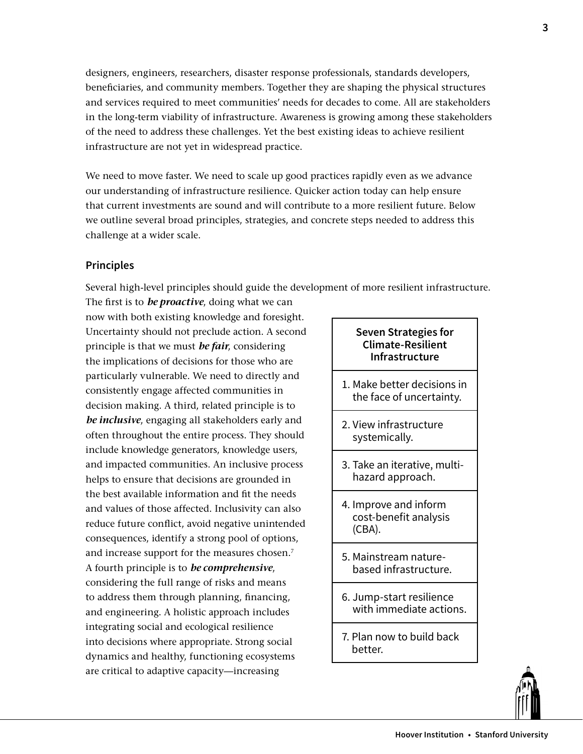designers, engineers, researchers, disaster response professionals, standards developers, beneficiaries, and community members. Together they are shaping the physical structures and services required to meet communities' needs for decades to come. All are stakeholders in the long-term viability of infrastructure. Awareness is growing among these stakeholders of the need to address these challenges. Yet the best existing ideas to achieve resilient infrastructure are not yet in widespread practice.

We need to move faster. We need to scale up good practices rapidly even as we advance our understanding of infrastructure resilience. Quicker action today can help ensure that current investments are sound and will contribute to a more resilient future. Below we outline several broad principles, strategies, and concrete steps needed to address this challenge at a wider scale.

## **Principles**

Several high-level principles should guide the development of more resilient infrastructure.

The first is to *be proactive*, doing what we can now with both existing knowledge and foresight. Uncertainty should not preclude action. A second principle is that we must *be fair*, considering the implications of decisions for those who are particularly vulnerable. We need to directly and consistently engage affected communities in decision making. A third, related principle is to *be inclusive*, engaging all stakeholders early and often throughout the entire process. They should include knowledge generators, knowledge users, and impacted communities. An inclusive process helps to ensure that decisions are grounded in the best available information and fit the needs and values of those affected. Inclusivity can also reduce future conflict, avoid negative unintended consequences, identify a strong pool of options, and increase support for the measures chosen.<sup>7</sup> A fourth principle is to *be comprehensive*, considering the full range of risks and means to address them through planning, financing, and engineering. A holistic approach includes integrating social and ecological resilience into decisions where appropriate. Strong social dynamics and healthy, functioning ecosystems are critical to adaptive capacity—increasing

## **Seven Strategies for Climate-Resilient Infrastructure**

- 1. Make better decisions in the face of uncertainty.
- 2. View infrastructure systemically.
- 3. Take an iterative, multihazard approach.
- 4. Improve and inform cost-benefit analysis (CBA).
- 5. Mainstream naturebased infrastructure.
- 6. Jump-start resilience with immediate actions.
- 7. Plan now to build back better.

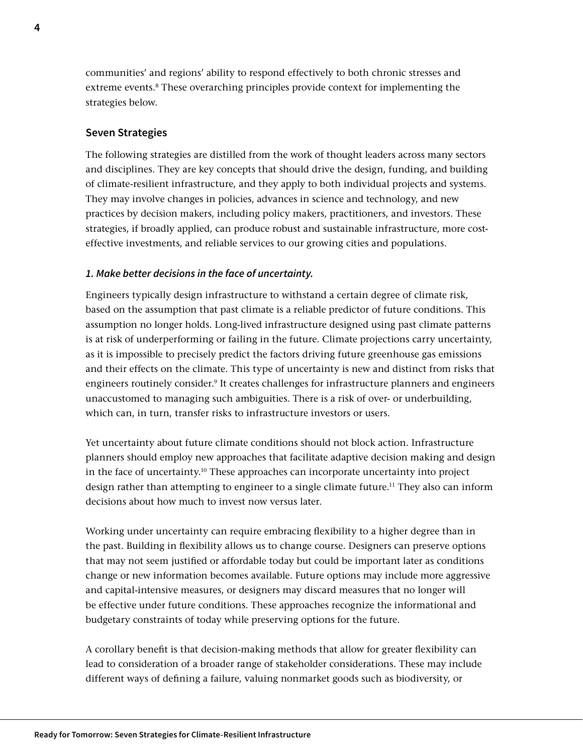communities' and regions' ability to respond effectively to both chronic stresses and extreme events.<sup>8</sup> These overarching principles provide context for implementing the strategies below.

## **Seven Strategies**

The following strategies are distilled from the work of thought leaders across many sectors and disciplines. They are key concepts that should drive the design, funding, and building of climate-resilient infrastructure, and they apply to both individual projects and systems. They may involve changes in policies, advances in science and technology, and new practices by decision makers, including policy makers, practitioners, and investors. These strategies, if broadly applied, can produce robust and sustainable infrastructure, more costeffective investments, and reliable services to our growing cities and populations.

### *1. Make better decisions in the face of uncertainty.*

Engineers typically design infrastructure to withstand a certain degree of climate risk, based on the assumption that past climate is a reliable predictor of future conditions. This assumption no longer holds. Long-lived infrastructure designed using past climate patterns is at risk of underperforming or failing in the future. Climate projections carry uncertainty, as it is impossible to precisely predict the factors driving future greenhouse gas emissions and their effects on the climate. This type of uncertainty is new and distinct from risks that engineers routinely consider.9 It creates challenges for infrastructure planners and engineers unaccustomed to managing such ambiguities. There is a risk of over- or underbuilding, which can, in turn, transfer risks to infrastructure investors or users.

Yet uncertainty about future climate conditions should not block action. Infrastructure planners should employ new approaches that facilitate adaptive decision making and design in the face of uncertainty.10 These approaches can incorporate uncertainty into project design rather than attempting to engineer to a single climate future.<sup>11</sup> They also can inform decisions about how much to invest now versus later.

Working under uncertainty can require embracing flexibility to a higher degree than in the past. Building in flexibility allows us to change course. Designers can preserve options that may not seem justified or affordable today but could be important later as conditions change or new information becomes available. Future options may include more aggressive and capital-intensive measures, or designers may discard measures that no longer will be effective under future conditions. These approaches recognize the informational and budgetary constraints of today while preserving options for the future.

A corollary benefit is that decision-making methods that allow for greater flexibility can lead to consideration of a broader range of stakeholder considerations. These may include different ways of defining a failure, valuing nonmarket goods such as biodiversity, or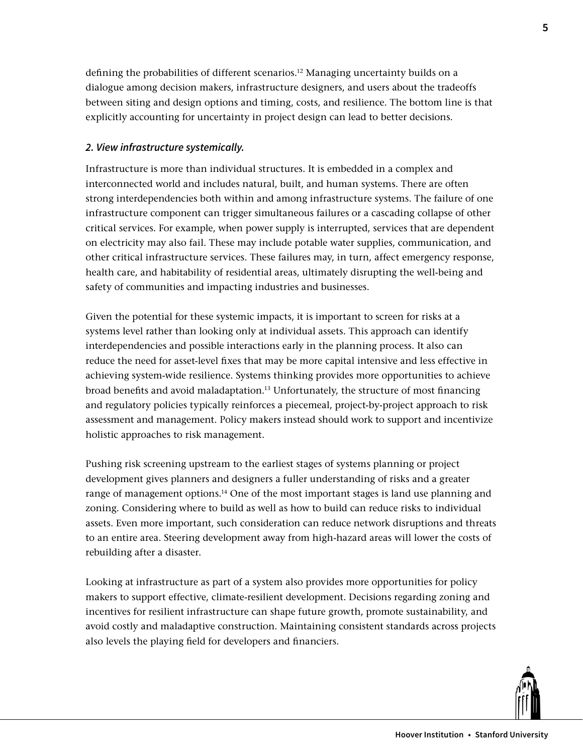defining the probabilities of different scenarios.12 Managing uncertainty builds on a dialogue among decision makers, infrastructure designers, and users about the tradeoffs between siting and design options and timing, costs, and resilience. The bottom line is that explicitly accounting for uncertainty in project design can lead to better decisions.

## *2. View infrastructure systemically.*

Infrastructure is more than individual structures. It is embedded in a complex and interconnected world and includes natural, built, and human systems. There are often strong interdependencies both within and among infrastructure systems. The failure of one infrastructure component can trigger simultaneous failures or a cascading collapse of other critical services. For example, when power supply is interrupted, services that are dependent on electricity may also fail. These may include potable water supplies, communication, and other critical infrastructure services. These failures may, in turn, affect emergency response, health care, and habitability of residential areas, ultimately disrupting the well-being and safety of communities and impacting industries and businesses.

Given the potential for these systemic impacts, it is important to screen for risks at a systems level rather than looking only at individual assets. This approach can identify interdependencies and possible interactions early in the planning process. It also can reduce the need for asset-level fixes that may be more capital intensive and less effective in achieving system-wide resilience. Systems thinking provides more opportunities to achieve broad benefits and avoid maladaptation.13 Unfortunately, the structure of most financing and regulatory policies typically reinforces a piecemeal, project-by-project approach to risk assessment and management. Policy makers instead should work to support and incentivize holistic approaches to risk management.

Pushing risk screening upstream to the earliest stages of systems planning or project development gives planners and designers a fuller understanding of risks and a greater range of management options.<sup>14</sup> One of the most important stages is land use planning and zoning. Considering where to build as well as how to build can reduce risks to individual assets. Even more important, such consideration can reduce network disruptions and threats to an entire area. Steering development away from high-hazard areas will lower the costs of rebuilding after a disaster.

Looking at infrastructure as part of a system also provides more opportunities for policy makers to support effective, climate-resilient development. Decisions regarding zoning and incentives for resilient infrastructure can shape future growth, promote sustainability, and avoid costly and maladaptive construction. Maintaining consistent standards across projects also levels the playing field for developers and financiers.

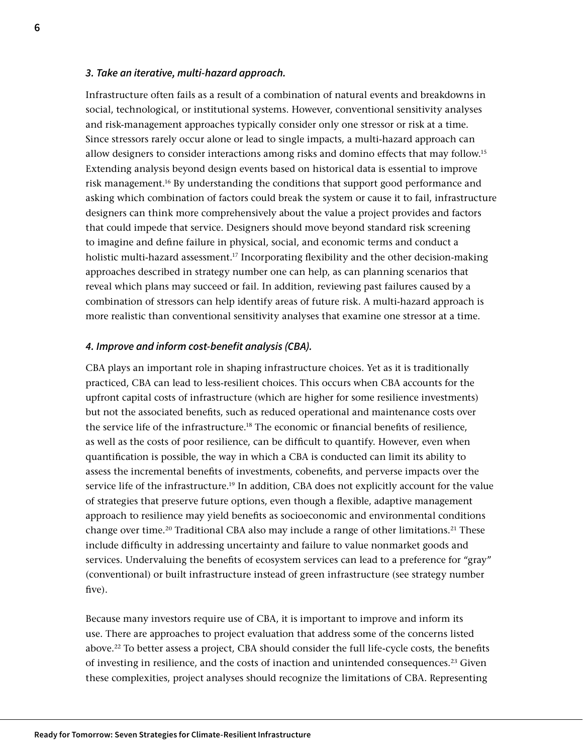### *3. Take an iterative, multi-hazard approach.*

Infrastructure often fails as a result of a combination of natural events and breakdowns in social, technological, or institutional systems. However, conventional sensitivity analyses and risk-management approaches typically consider only one stressor or risk at a time. Since stressors rarely occur alone or lead to single impacts, a multi-hazard approach can allow designers to consider interactions among risks and domino effects that may follow.15 Extending analysis beyond design events based on historical data is essential to improve risk management.16 By understanding the conditions that support good performance and asking which combination of factors could break the system or cause it to fail, infrastructure designers can think more comprehensively about the value a project provides and factors that could impede that service. Designers should move beyond standard risk screening to imagine and define failure in physical, social, and economic terms and conduct a holistic multi-hazard assessment.<sup>17</sup> Incorporating flexibility and the other decision-making approaches described in strategy number one can help, as can planning scenarios that reveal which plans may succeed or fail. In addition, reviewing past failures caused by a combination of stressors can help identify areas of future risk. A multi-hazard approach is more realistic than conventional sensitivity analyses that examine one stressor at a time.

#### *4. Improve and inform cost-benefit analysis (CBA).*

CBA plays an important role in shaping infrastructure choices. Yet as it is traditionally practiced, CBA can lead to less-resilient choices. This occurs when CBA accounts for the upfront capital costs of infrastructure (which are higher for some resilience investments) but not the associated benefits, such as reduced operational and maintenance costs over the service life of the infrastructure.<sup>18</sup> The economic or financial benefits of resilience, as well as the costs of poor resilience, can be difficult to quantify. However, even when quantification is possible, the way in which a CBA is conducted can limit its ability to assess the incremental benefits of investments, cobenefits, and perverse impacts over the service life of the infrastructure.19 In addition, CBA does not explicitly account for the value of strategies that preserve future options, even though a flexible, adaptive management approach to resilience may yield benefits as socioeconomic and environmental conditions change over time.<sup>20</sup> Traditional CBA also may include a range of other limitations.<sup>21</sup> These include difficulty in addressing uncertainty and failure to value nonmarket goods and services. Undervaluing the benefits of ecosystem services can lead to a preference for "gray" (conventional) or built infrastructure instead of green infrastructure (see strategy number five).

Because many investors require use of CBA, it is important to improve and inform its use. There are approaches to project evaluation that address some of the concerns listed above.22 To better assess a project, CBA should consider the full life-cycle costs, the benefits of investing in resilience, and the costs of inaction and unintended consequences.<sup>23</sup> Given these complexities, project analyses should recognize the limitations of CBA. Representing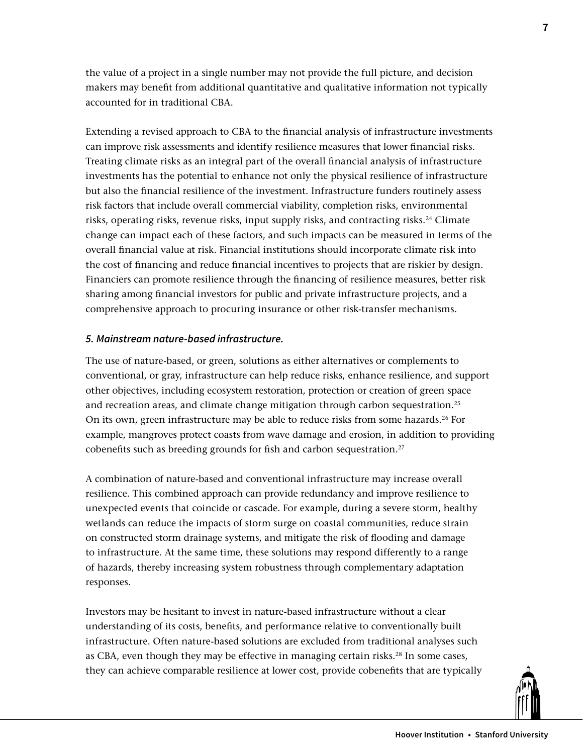the value of a project in a single number may not provide the full picture, and decision makers may benefit from additional quantitative and qualitative information not typically accounted for in traditional CBA.

Extending a revised approach to CBA to the financial analysis of infrastructure investments can improve risk assessments and identify resilience measures that lower financial risks. Treating climate risks as an integral part of the overall financial analysis of infrastructure investments has the potential to enhance not only the physical resilience of infrastructure but also the financial resilience of the investment. Infrastructure funders routinely assess risk factors that include overall commercial viability, completion risks, environmental risks, operating risks, revenue risks, input supply risks, and contracting risks.<sup>24</sup> Climate change can impact each of these factors, and such impacts can be measured in terms of the overall financial value at risk. Financial institutions should incorporate climate risk into the cost of financing and reduce financial incentives to projects that are riskier by design. Financiers can promote resilience through the financing of resilience measures, better risk sharing among financial investors for public and private infrastructure projects, and a comprehensive approach to procuring insurance or other risk-transfer mechanisms.

## *5. Mainstream nature-based infrastructure.*

The use of nature-based, or green, solutions as either alternatives or complements to conventional, or gray, infrastructure can help reduce risks, enhance resilience, and support other objectives, including ecosystem restoration, protection or creation of green space and recreation areas, and climate change mitigation through carbon sequestration.<sup>25</sup> On its own, green infrastructure may be able to reduce risks from some hazards.<sup>26</sup> For example, mangroves protect coasts from wave damage and erosion, in addition to providing cobenefits such as breeding grounds for fish and carbon sequestration.<sup>27</sup>

A combination of nature-based and conventional infrastructure may increase overall resilience. This combined approach can provide redundancy and improve resilience to unexpected events that coincide or cascade. For example, during a severe storm, healthy wetlands can reduce the impacts of storm surge on coastal communities, reduce strain on constructed storm drainage systems, and mitigate the risk of flooding and damage to infrastructure. At the same time, these solutions may respond differently to a range of hazards, thereby increasing system robustness through complementary adaptation responses.

Investors may be hesitant to invest in nature-based infrastructure without a clear understanding of its costs, benefits, and performance relative to conventionally built infrastructure. Often nature-based solutions are excluded from traditional analyses such as CBA, even though they may be effective in managing certain risks.28 In some cases, they can achieve comparable resilience at lower cost, provide cobenefits that are typically

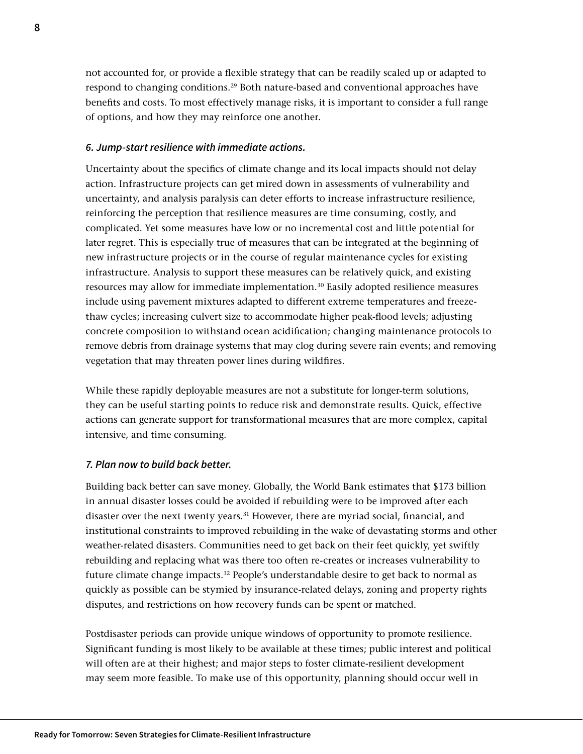not accounted for, or provide a flexible strategy that can be readily scaled up or adapted to respond to changing conditions.29 Both nature-based and conventional approaches have benefits and costs. To most effectively manage risks, it is important to consider a full range of options, and how they may reinforce one another.

## *6. Jump-start resilience with immediate actions.*

Uncertainty about the specifics of climate change and its local impacts should not delay action. Infrastructure projects can get mired down in assessments of vulnerability and uncertainty, and analysis paralysis can deter efforts to increase infrastructure resilience, reinforcing the perception that resilience measures are time consuming, costly, and complicated. Yet some measures have low or no incremental cost and little potential for later regret. This is especially true of measures that can be integrated at the beginning of new infrastructure projects or in the course of regular maintenance cycles for existing infrastructure. Analysis to support these measures can be relatively quick, and existing resources may allow for immediate implementation.<sup>30</sup> Easily adopted resilience measures include using pavement mixtures adapted to different extreme temperatures and freezethaw cycles; increasing culvert size to accommodate higher peak-flood levels; adjusting concrete composition to withstand ocean acidification; changing maintenance protocols to remove debris from drainage systems that may clog during severe rain events; and removing vegetation that may threaten power lines during wildfires.

While these rapidly deployable measures are not a substitute for longer-term solutions, they can be useful starting points to reduce risk and demonstrate results. Quick, effective actions can generate support for transformational measures that are more complex, capital intensive, and time consuming.

## *7. Plan now to build back better.*

Building back better can save money. Globally, the World Bank estimates that \$173 billion in annual disaster losses could be avoided if rebuilding were to be improved after each disaster over the next twenty years.<sup>31</sup> However, there are myriad social, financial, and institutional constraints to improved rebuilding in the wake of devastating storms and other weather-related disasters. Communities need to get back on their feet quickly, yet swiftly rebuilding and replacing what was there too often re-creates or increases vulnerability to future climate change impacts. $32$  People's understandable desire to get back to normal as quickly as possible can be stymied by insurance-related delays, zoning and property rights disputes, and restrictions on how recovery funds can be spent or matched.

Postdisaster periods can provide unique windows of opportunity to promote resilience. Significant funding is most likely to be available at these times; public interest and political will often are at their highest; and major steps to foster climate-resilient development may seem more feasible. To make use of this opportunity, planning should occur well in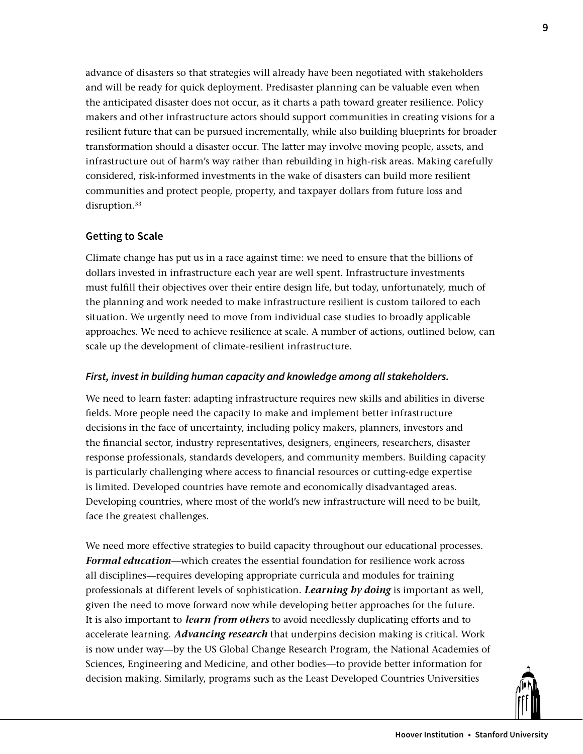advance of disasters so that strategies will already have been negotiated with stakeholders and will be ready for quick deployment. Predisaster planning can be valuable even when the anticipated disaster does not occur, as it charts a path toward greater resilience. Policy makers and other infrastructure actors should support communities in creating visions for a resilient future that can be pursued incrementally, while also building blueprints for broader transformation should a disaster occur. The latter may involve moving people, assets, and infrastructure out of harm's way rather than rebuilding in high-risk areas. Making carefully considered, risk-informed investments in the wake of disasters can build more resilient communities and protect people, property, and taxpayer dollars from future loss and disruption.<sup>33</sup>

## **Getting to Scale**

Climate change has put us in a race against time: we need to ensure that the billions of dollars invested in infrastructure each year are well spent. Infrastructure investments must fulfill their objectives over their entire design life, but today, unfortunately, much of the planning and work needed to make infrastructure resilient is custom tailored to each situation. We urgently need to move from individual case studies to broadly applicable approaches. We need to achieve resilience at scale. A number of actions, outlined below, can scale up the development of climate-resilient infrastructure.

## *First, invest in building human capacity and knowledge among all stakeholders.*

We need to learn faster: adapting infrastructure requires new skills and abilities in diverse fields. More people need the capacity to make and implement better infrastructure decisions in the face of uncertainty, including policy makers, planners, investors and the financial sector, industry representatives, designers, engineers, researchers, disaster response professionals, standards developers, and community members. Building capacity is particularly challenging where access to financial resources or cutting-edge expertise is limited. Developed countries have remote and economically disadvantaged areas. Developing countries, where most of the world's new infrastructure will need to be built, face the greatest challenges.

We need more effective strategies to build capacity throughout our educational processes. *Formal education*—which creates the essential foundation for resilience work across all disciplines—requires developing appropriate curricula and modules for training professionals at different levels of sophistication. *Learning by doing* is important as well, given the need to move forward now while developing better approaches for the future. It is also important to *learn from others* to avoid needlessly duplicating efforts and to accelerate learning. *Advancing research* that underpins decision making is critical. Work is now under way—by the US Global Change Research Program, the National Academies of Sciences, Engineering and Medicine, and other bodies—to provide better information for decision making. Similarly, programs such as the Least Developed Countries Universities

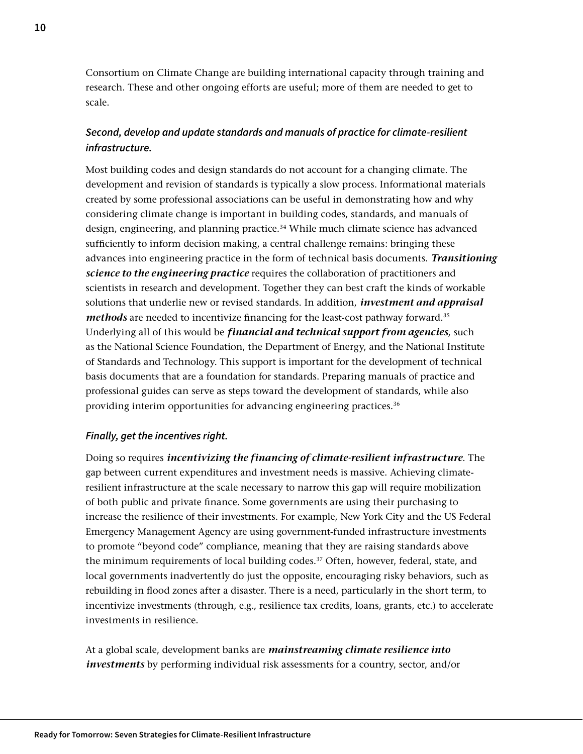Consortium on Climate Change are building international capacity through training and research. These and other ongoing efforts are useful; more of them are needed to get to scale.

## *Second, develop and update standards and manuals of practice for climate-resilient infrastructure.*

Most building codes and design standards do not account for a changing climate. The development and revision of standards is typically a slow process. Informational materials created by some professional associations can be useful in demonstrating how and why considering climate change is important in building codes, standards, and manuals of design, engineering, and planning practice.<sup>34</sup> While much climate science has advanced sufficiently to inform decision making, a central challenge remains: bringing these advances into engineering practice in the form of technical basis documents. *Transitioning science to the engineering practice* requires the collaboration of practitioners and scientists in research and development. Together they can best craft the kinds of workable solutions that underlie new or revised standards. In addition, *investment and appraisal methods* are needed to incentivize financing for the least-cost pathway forward.35 Underlying all of this would be *financial and technical support from agencies*, such as the National Science Foundation, the Department of Energy, and the National Institute of Standards and Technology. This support is important for the development of technical basis documents that are a foundation for standards. Preparing manuals of practice and professional guides can serve as steps toward the development of standards, while also providing interim opportunities for advancing engineering practices.<sup>36</sup>

## *Finally, get the incentives right.*

Doing so requires *incentivizing the financing of climate-resilient infrastructure*. The gap between current expenditures and investment needs is massive. Achieving climateresilient infrastructure at the scale necessary to narrow this gap will require mobilization of both public and private finance. Some governments are using their purchasing to increase the resilience of their investments. For example, New York City and the US Federal Emergency Management Agency are using government-funded infrastructure investments to promote "beyond code" compliance, meaning that they are raising standards above the minimum requirements of local building codes.<sup>37</sup> Often, however, federal, state, and local governments inadvertently do just the opposite, encouraging risky behaviors, such as rebuilding in flood zones after a disaster. There is a need, particularly in the short term, to incentivize investments (through, e.g., resilience tax credits, loans, grants, etc.) to accelerate investments in resilience.

At a global scale, development banks are *mainstreaming climate resilience into investments* by performing individual risk assessments for a country, sector, and/or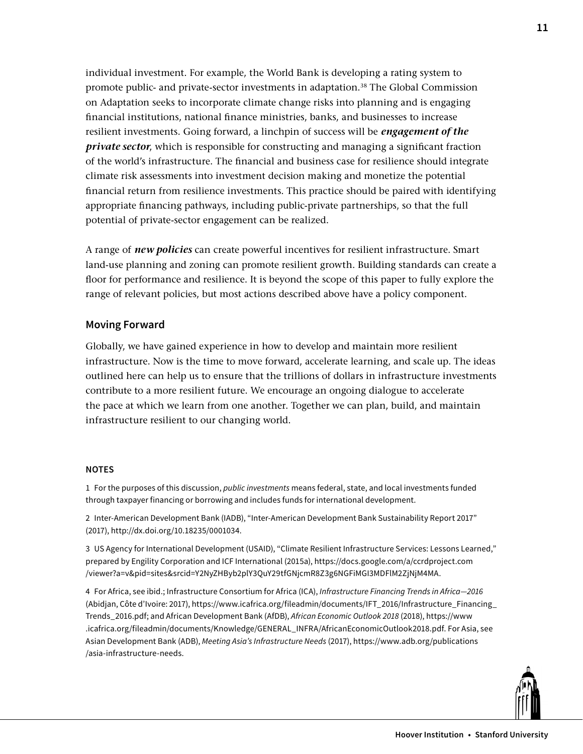individual investment. For example, the World Bank is developing a rating system to promote public- and private-sector investments in adaptation.38 The Global Commission on Adaptation seeks to incorporate climate change risks into planning and is engaging financial institutions, national finance ministries, banks, and businesses to increase resilient investments. Going forward, a linchpin of success will be *engagement of the private sector*, which is responsible for constructing and managing a significant fraction of the world's infrastructure. The financial and business case for resilience should integrate climate risk assessments into investment decision making and monetize the potential financial return from resilience investments. This practice should be paired with identifying appropriate financing pathways, including public-private partnerships, so that the full potential of private-sector engagement can be realized.

A range of *new policies* can create powerful incentives for resilient infrastructure. Smart land-use planning and zoning can promote resilient growth. Building standards can create a floor for performance and resilience. It is beyond the scope of this paper to fully explore the range of relevant policies, but most actions described above have a policy component.

## **Moving Forward**

Globally, we have gained experience in how to develop and maintain more resilient infrastructure. Now is the time to move forward, accelerate learning, and scale up. The ideas outlined here can help us to ensure that the trillions of dollars in infrastructure investments contribute to a more resilient future. We encourage an ongoing dialogue to accelerate the pace at which we learn from one another. Together we can plan, build, and maintain infrastructure resilient to our changing world.

#### **NOTES**

1 For the purposes of this discussion, *public investments* means federal, state, and local investments funded through taxpayer financing or borrowing and includes funds for international development.

2 Inter-American Development Bank (IADB), "Inter-American Development Bank Sustainability Report 2017" (2017), [http://dx.doi.org/10.18235/0001034.](http://dx.doi.org/10.18235/0001034)

3 US Agency for International Development (USAID), "Climate Resilient Infrastructure Services: Lessons Learned," prepared by Engility Corporation and ICF International (2015a), [https://docs.google.com/a/ccrdproject.com](https://docs.google.com/a/ccrdproject.com/viewer?a=v&pid=sites&srcid=Y2NyZHByb2plY3QuY29tfGNjcmR8Z3g6NGFiMGI3MDFlM2ZjNjM4MA.) [/viewer?a=v&pid=sites&srcid=Y2NyZHByb2plY3QuY29tfGNjcmR8Z3g6NGFiMGI3MDFlM2ZjNjM4MA.](https://docs.google.com/a/ccrdproject.com/viewer?a=v&pid=sites&srcid=Y2NyZHByb2plY3QuY29tfGNjcmR8Z3g6NGFiMGI3MDFlM2ZjNjM4MA.)

4 For Africa, see ibid.; Infrastructure Consortium for Africa (ICA), *Infrastructure Financing Trends in Africa—2016* (Abidjan, Côte d'Ivoire: 2017), [https://www.icafrica.org/fileadmin/documents/IFT\\_2016/Infrastructure\\_Financing\\_](https://www.icafrica.org/fileadmin/documents/IFT_2016/Infrastructure_Financing_Trends_2016.pdf) [Trends\\_2016.pdf](https://www.icafrica.org/fileadmin/documents/IFT_2016/Infrastructure_Financing_Trends_2016.pdf); and African Development Bank (AfDB), *African Economic Outlook 2018* (2018), [https://www](https://www.icafrica.org/fileadmin/documents/Knowledge/GENERAL_INFRA/AfricanEconomicOutlook2018.pdf) [.icafrica.org/fileadmin/documents/Knowledge/GENERAL\\_INFRA/AfricanEconomicOutlook2018.pdf](https://www.icafrica.org/fileadmin/documents/Knowledge/GENERAL_INFRA/AfricanEconomicOutlook2018.pdf). For Asia, see Asian Development Bank (ADB), *Meeting Asia's Infrastructure Needs* (2017), [https://www.adb.org/publications](https://www.adb.org/publications/asia-infrastructure-needs) [/asia](https://www.adb.org/publications/asia-infrastructure-needs)-infrastructure-needs.

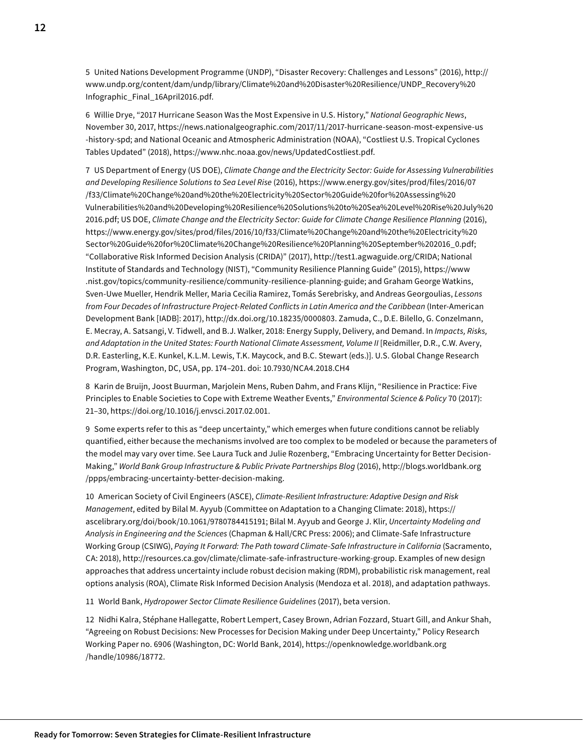5 United Nations Development Programme (UNDP), "Disaster Recovery: Challenges and Lessons" (2016), [http://](http://www.undp.org/content/dam/undp/library/Climate%20and%20Disaster%20Resilience/UNDP_Recovery%20Infographic_Final_16April2016.pdf) [www.undp.org/content/dam/undp/library/Climate](http://www.undp.org/content/dam/undp/library/Climate%20and%20Disaster%20Resilience/UNDP_Recovery%20Infographic_Final_16April2016.pdf)%20and%20Disaster%20Resilience/UNDP\_Recovery%[20](http://www.undp.org/content/dam/undp/library/Climate%20and%20Disaster%20Resilience/UNDP_Recovery%20Infographic_Final_16April2016.pdf) [Infographic\\_Final\\_16April2016.pdf](http://www.undp.org/content/dam/undp/library/Climate%20and%20Disaster%20Resilience/UNDP_Recovery%20Infographic_Final_16April2016.pdf).

6 Willie Drye, "2017 Hurricane Season Was the Most Expensive in U.S. History," *National Geographic News*, November 30, 2017, [https://news.nationalgeographic.com/2017/11/2017-](https://news.nationalgeographic.com/2017/11/2017-hurricane-season-most-expensive-us-history-spd)hurricane-season-most-expensive-us -history-spd; and National Oceanic and Atmospheric Administration (NOAA), "Costliest U.S. Tropical Cyclones Tables Updated" (2018), [https://www.nhc.noaa.gov/news/UpdatedCostliest.pdf.](https://www.nhc.noaa.gov/news/UpdatedCostliest.pdf)

7 US Department of Energy (US DOE), *Climate Change and the Electricity Sector: Guide for Assessing Vulnerabilities and Developing Resilience Solutions to Sea Level Rise* (2016), [https://www.energy.gov/sites/prod/files/2016/07](https://www.energy.gov/sites/prod/files/2016/07/f33/Climate%20Change%20and%20the%20Electricity%20Sector%20Guide%20for%20Assessing%20Vulnerabilities%20and%20Developing%20Resilience%20Solutions%20to%20Sea%20Level%20Rise%20July%202016.pdf) [/f33/Climate](https://www.energy.gov/sites/prod/files/2016/07/f33/Climate%20Change%20and%20the%20Electricity%20Sector%20Guide%20for%20Assessing%20Vulnerabilities%20and%20Developing%20Resilience%20Solutions%20to%20Sea%20Level%20Rise%20July%202016.pdf)%20Change%20and%20the%20Electricity%20Sector%20Guide%20for%20Assessing%20 Vulnerabilities%20and%20Developing%20Resilience%20Solutions%20to%20Sea%20Level%20Rise%20July%[20](https://www.energy.gov/sites/prod/files/2016/07/f33/Climate%20Change%20and%20the%20Electricity%20Sector%20Guide%20for%20Assessing%20Vulnerabilities%20and%20Developing%20Resilience%20Solutions%20to%20Sea%20Level%20Rise%20July%202016.pdf) [2016.pdf;](https://www.energy.gov/sites/prod/files/2016/07/f33/Climate%20Change%20and%20the%20Electricity%20Sector%20Guide%20for%20Assessing%20Vulnerabilities%20and%20Developing%20Resilience%20Solutions%20to%20Sea%20Level%20Rise%20July%202016.pdf) US DOE, *Climate Change and the Electricity Sector: Guide for Climate Change Resilience Planning* (2016), [https://www.energy.gov/sites/prod/files/2016/10/f33/Climate](https://www.energy.gov/sites/prod/files/2016/10/f33/Climate%20Change%20and%20the%20Electricity%20Sector%20Guide%20for%20Climate%20Change%20Resilience%20Planning%20September%202016_0.pdf)%20Change%20and%20the%20Electricity%20 Sector%20Guide%20for%20Climate%20Change%20Resilience%20Planning%20September%[202016\\_0.pdf;](https://www.energy.gov/sites/prod/files/2016/10/f33/Climate%20Change%20and%20the%20Electricity%20Sector%20Guide%20for%20Climate%20Change%20Resilience%20Planning%20September%202016_0.pdf) "Collaborative Risk Informed Decision Analysis (CRIDA)" (2017), <http://test1.agwaguide.org/CRIDA>; National Institute of Standards and Technology (NIST), "Community Resilience Planning Guide" (2015), [https://www](https://www.nist.gov/topics/community-resilience/community-resilience-planning-guide) [.nist.gov/topics/community-resilience/community](https://www.nist.gov/topics/community-resilience/community-resilience-planning-guide)-resilience-planning-guide; and Graham George Watkins, Sven-Uwe Mueller, Hendrik Meller, Maria Cecilia Ramirez, Tomás Serebrisky, and Andreas Georgoulias, *Lessons from Four Decades of Infrastructure Project-Related Conflicts in Latin America and the Caribbean* (Inter-American Development Bank [IADB]: 2017), [http://dx.doi.org/10.18235/0000803.](http://dx.doi.org/10.18235/0000803) Zamuda, C., D.E. Bilello, G. Conzelmann, E. Mecray, A. Satsangi, V. Tidwell, and B.J. Walker, 2018: Energy Supply, Delivery, and Demand. In *Impacts, Risks, and Adaptation in the United States: Fourth National Climate Assessment, Volume II* [Reidmiller, D.R., C.W. Avery, D.R. Easterling, K.E. Kunkel, K.L.M. Lewis, T.K. Maycock, and B.C. Stewart (eds.)]. U.S. Global Change Research Program, Washington, DC, USA, pp. 174–201. doi: 10.7930/NCA4.2018.CH4

8 Karin de Bruijn, Joost Buurman, Marjolein Mens, Ruben Dahm, and Frans Klijn, "Resilience in Practice: Five Principles to Enable Societies to Cope with Extreme Weather Events," *Environmental Science & Policy* 70 (2017): 21–30, [https://doi.org/10.1016/j.envsci.2017.02.001.](https://doi.org/10.1016/j.envsci.2017.02.001)

9 Some experts refer to this as "deep uncertainty," which emerges when future conditions cannot be reliably quantified, either because the mechanisms involved are too complex to be modeled or because the parameters of the model may vary over time. See Laura Tuck and Julie Rozenberg, "Embracing Uncertainty for Better Decision-Making," *World Bank Group Infrastructure & Public Private Partnerships Blog* (2016), [http://blogs.worldbank.org](http://blogs.worldbank.org/ppps/embracing-uncertainty-better-decision-making) [/ppps/embracing-](http://blogs.worldbank.org/ppps/embracing-uncertainty-better-decision-making)uncertainty-better-decision-making.

10 American Society of Civil Engineers (ASCE), *Climate-Resilient Infrastructure: Adaptive Design and Risk Management*, edited by Bilal M. Ayyub (Committee on Adaptation to a Changing Climate: 2018), [https://](https://ascelibrary.org/doi/book/10.1061/9780784415191) [ascelibrary.org/doi/book/10.1061/9780784415191](https://ascelibrary.org/doi/book/10.1061/9780784415191); Bilal M. Ayyub and George J. Klir, *Uncertainty Modeling and Analysis in Engineering and the Sciences* (Chapman & Hall/CRC Press: 2006); and Climate-Safe Infrastructure Working Group (CSIWG), *Paying It Forward: The Path toward Climate-Safe Infrastructure in California* (Sacramento, CA: 2018), [http://resources.ca.gov/climate/climate-](http://resources.ca.gov/climate/climate-safe-infrastructure-working-group)safe-infrastructure-working-group. Examples of new design approaches that address uncertainty include robust decision making (RDM), probabilistic risk management, real options analysis (ROA), Climate Risk Informed Decision Analysis (Mendoza et al. 2018), and adaptation pathways.

11 World Bank, *Hydropower Sector Climate Resilience Guidelines* (2017), beta version.

12 Nidhi Kalra, Stéphane Hallegatte, Robert Lempert, Casey Brown, Adrian Fozzard, Stuart Gill, and Ankur Shah, "Agreeing on Robust Decisions: New Processes for Decision Making under Deep Uncertainty," Policy Research Working Paper no. 6906 (Washington, DC: World Bank, 2014), [https://openknowledge.worldbank.org](https://openknowledge.worldbank.org/handle/10986/18772) [/handle/10986/18772](https://openknowledge.worldbank.org/handle/10986/18772).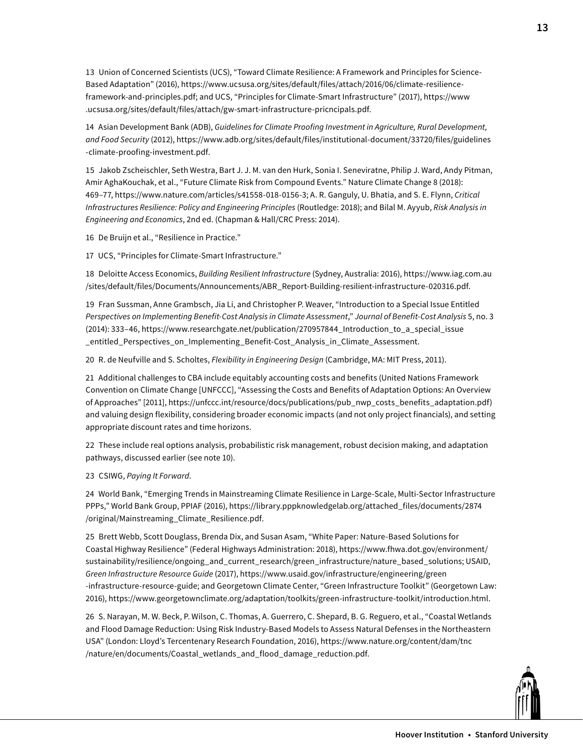13 Union of Concerned Scientists (UCS), "Toward Climate Resilience: A Framework and Principles for Science-Based Adaptation" (2016), [https://www.ucsusa.org/sites/default/files/attach/2016/06/climate-resilience](https://www.ucsusa.org/sites/default/files/attach/2016/06/climate-resilience-framework-and-principles.pdf)[framework-and-principles.pdf](https://www.ucsusa.org/sites/default/files/attach/2016/06/climate-resilience-framework-and-principles.pdf); and UCS, "Principles for Climate-Smart Infrastructure" (2017), [https://www](https://www.ucsusa.org/sites/default/files/attach/gw-smart-infrastructure-pricncipals.pdf) [.ucsusa.org/sites/default/files/attach/gw-smart-infrastructure-pricncipals.pdf.](https://www.ucsusa.org/sites/default/files/attach/gw-smart-infrastructure-pricncipals.pdf)

14 Asian Development Bank (ADB), *Guidelines for Climate Proofing Investment in Agriculture, Rural Development, and Food Security* (2012), [https://www.adb.org/sites/default/files/institutional-document/33720/files/guidelines](https://www.adb.org/sites/default/files/institutional-document/33720/files/guidelines-climate-proofing-investment.pdf) [-climate-proofing-investment.pdf.](https://www.adb.org/sites/default/files/institutional-document/33720/files/guidelines-climate-proofing-investment.pdf)

15 Jakob Zscheischler, Seth Westra, Bart J. J. M. van den Hurk, Sonia I. Seneviratne, Philip J. Ward, Andy Pitman, Amir AghaKouchak, et al., "Future Climate Risk from Compound Events." Nature Climate Change 8 (2018): 469–77, [https://www.nature.com/articles/s41558](https://www.nature.com/articles/s41558-018-0156-3)-018-0156-3; A. R. Ganguly, U. Bhatia, and S. E. Flynn, *Critical Infrastructures Resilience: Policy and Engineering Principles* (Routledge: 2018); and Bilal M. Ayyub, *Risk Analysis in Engineering and Economics*, 2nd ed. (Chapman & Hall/CRC Press: 2014).

16 De Bruijn et al., "Resilience in Practice."

17 UCS, "Principles for Climate-Smart Infrastructure."

18 Deloitte Access Economics, *Building Resilient Infrastructure* (Sydney, Australia: 2016), [https://www.iag.com.au](https://www.iag.com.au/sites/default/files/Documents/Announcements/ABR_Report-Building-resilient-infrastructure-020316.pdf) [/sites/default/files/Documents/Announcements/ABR\\_Report-Building-resilient-infrastructure-020316.pdf](https://www.iag.com.au/sites/default/files/Documents/Announcements/ABR_Report-Building-resilient-infrastructure-020316.pdf).

19 Fran Sussman, Anne Grambsch, Jia Li, and Christopher P. Weaver, "Introduction to a Special Issue Entitled *Perspectives on Implementing Benefit-Cost Analysis in Climate Assessment*," *Journal of Benefit-Cost Analysis* 5, no. 3 (2014): 333–46, [https://www.researchgate.net/publication/270957844\\_Introduction\\_to\\_a\\_special\\_issue](https://www.researchgate.net/publication/270957844_Introduction_to_a_special_issue_entitled_Perspectives_on_Implementing_Benefit-Cost_Analysis_in_Climate_Assessment) [\\_entitled\\_Perspectives\\_on\\_Implementing\\_Benefit-](https://www.researchgate.net/publication/270957844_Introduction_to_a_special_issue_entitled_Perspectives_on_Implementing_Benefit-Cost_Analysis_in_Climate_Assessment)Cost\_Analysis\_in\_Climate\_Assessment.

20 R. de Neufville and S. Scholtes, *Flexibility in Engineering Design* (Cambridge, MA: MIT Press, 2011).

21 Additional challenges to CBA include equitably accounting costs and benefits (United Nations Framework Convention on Climate Change [UNFCCC], "Assessing the Costs and Benefits of Adaptation Options: An Overview of Approaches" [2011], [https://unfccc.int/resource/docs/publications/pub\\_nwp\\_costs\\_benefits\\_adaptation.pdf](https://unfccc.int/resource/docs/publications/pub_nwp_costs_benefits_adaptation.pdf)) and valuing design flexibility, considering broader economic impacts (and not only project financials), and setting appropriate discount rates and time horizons.

22 These include real options analysis, probabilistic risk management, robust decision making, and adaptation pathways, discussed earlier (see note 10).

#### 23 CSIWG, *Paying It Forward*.

24 World Bank, "Emerging Trends in Mainstreaming Climate Resilience in Large-Scale, Multi-Sector Infrastructure PPPs," World Bank Group, PPIAF (2016), [https://library.pppknowledgelab.org/attached\\_files/documents/2874](https://library.pppknowledgelab.org/attached_files/documents/2874/original/Mainstreaming_Climate_Resilience.pdf) [/original/Mainstreaming\\_Climate\\_Resilience.pdf.](https://library.pppknowledgelab.org/attached_files/documents/2874/original/Mainstreaming_Climate_Resilience.pdf)

25 Brett Webb, Scott Douglass, Brenda Dix, and Susan Asam, "White Paper: Nature-Based Solutions for Coastal Highway Resilience" (Federal Highways Administration: 2018), [https://www.fhwa.dot.gov/environment/](https://www.fhwa.dot.gov/environment/sustainability/resilience/ongoing_and_current_research/green_infrastructure/nature_based_solutions) [sustainability/resilience/ongoing\\_and\\_current\\_research/green\\_infrastructure/nature\\_based\\_solutions](https://www.fhwa.dot.gov/environment/sustainability/resilience/ongoing_and_current_research/green_infrastructure/nature_based_solutions); USAID, *Green Infrastructure Resource Guide* (2017), [https://www.usaid.gov/infrastructure/engineering/green](https://www.usaid.gov/infrastructure/engineering/green-infrastructure-resource-guide) -infrastructure-resource-guide; and Georgetown Climate Center, "Green Infrastructure Toolkit" (Georgetown Law: 2016),<https://www.georgetownclimate.org/adaptation/toolkits/green-infrastructure-toolkit/introduction.html>.

26 S. Narayan, M. W. Beck, P. Wilson, C. Thomas, A. Guerrero, C. Shepard, B. G. Reguero, et al., "Coastal Wetlands and Flood Damage Reduction: Using Risk Industry-Based Models to Assess Natural Defenses in the Northeastern USA" (London: Lloyd's Tercentenary Research Foundation, 2016), [https://www.nature.org/content/dam/tnc](https://www.nature.org/content/dam/tnc/nature/en/documents/Coastal_wetlands_and_flood_damage_reduction.pdf) [/nature/en/documents/Coastal\\_wetlands\\_and\\_flood\\_damage\\_reduction.pdf.](https://www.nature.org/content/dam/tnc/nature/en/documents/Coastal_wetlands_and_flood_damage_reduction.pdf)

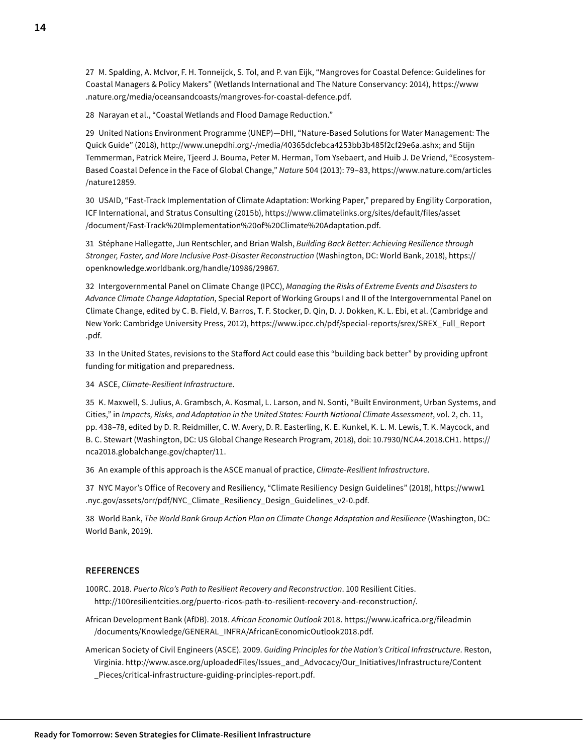27 M. Spalding, A. McIvor, F. H. Tonneijck, S. Tol, and P. van Eijk, "Mangroves for Coastal Defence: Guidelines for Coastal Managers & Policy Makers" (Wetlands International and The Nature Conservancy: 2014), [https://www](https://www.nature.org/media/oceansandcoasts/mangroves-for-coastal-defence.pdf) [.nature.org/media/oceansandcoasts/mangroves-for-coastal-defence.pdf](https://www.nature.org/media/oceansandcoasts/mangroves-for-coastal-defence.pdf).

28 Narayan et al., "Coastal Wetlands and Flood Damage Reduction."

29 United Nations Environment Programme (UNEP)—DHI, "Nature-Based Solutions for Water Management: The Quick Guide" (2018), [http://www.unepdhi.org/-/media/40365dcfebca4253bb3b485f2cf29e6a.ashx;](http://www.unepdhi.org/-/media/40365dcfebca4253bb3b485f2cf29e6a.ashx) and Stijn Temmerman, Patrick Meire, Tjeerd J. Bouma, Peter M. Herman, Tom Ysebaert, and Huib J. De Vriend, "Ecosystem-Based Coastal Defence in the Face of Global Change," *Nature* 504 (2013): 79–83, [https://www.nature.com/articles](https://www.nature.com/articles/nature12859) [/nature12859.](https://www.nature.com/articles/nature12859)

30 USAID, "Fast-Track Implementation of Climate Adaptation: Working Paper," prepared by Engility Corporation, ICF International, and Stratus Consulting (2015b), [https://www.climatelinks.org/sites/default/files/asset](https://www.climatelinks.org/sites/default/files/asset/document/Fast-Track%20Implementation%20of%20Climate%20Adaptation.pdf) [/document/Fast](https://www.climatelinks.org/sites/default/files/asset/document/Fast-Track%20Implementation%20of%20Climate%20Adaptation.pdf)-Track%20Implementation%20of%20Climate[%20Adaptation.pdf.](https://www.climatelinks.org/sites/default/files/asset/document/Fast-Track%20Implementation%20of%20Climate%20Adaptation.pdf)

31 Stéphane Hallegatte, Jun Rentschler, and Brian Walsh, *Building Back Better: Achieving Resilience through Stronger, Faster, and More Inclusive Post-Disaster Reconstruction* (Washington, DC: World Bank, 2018), [https://](https://openknowledge.worldbank.org/handle/10986/29867) [openknowledge.worldbank.org/handle/10986/29867](https://openknowledge.worldbank.org/handle/10986/29867).

32 Intergovernmental Panel on Climate Change (IPCC), *Managing the Risks of Extreme Events and Disasters to Advance Climate Change Adaptation*, Special Report of Working Groups I and II of the Intergovernmental Panel on Climate Change, edited by C. B. Field, V. Barros, T. F. Stocker, D. Qin, D. J. Dokken, K. L. Ebi, et al. (Cambridge and New York: Cambridge University Press, 2012), [https://www.ipcc.ch/pdf/special-reports/srex/SREX\\_Full\\_Report](https://www.ipcc.ch/pdf/special-reports/srex/SREX_Full_Report.pdf.) [.pdf](https://www.ipcc.ch/pdf/special-reports/srex/SREX_Full_Report.pdf.).

33 In the United States, revisions to the Stafford Act could ease this "building back better" by providing upfront funding for mitigation and preparedness.

34 ASCE, *Climate-Resilient Infrastructure*.

35 K. Maxwell, S. Julius, A. Grambsch, A. Kosmal, L. Larson, and N. Sonti, "Built Environment, Urban Systems, and Cities," in *Impacts, Risks, and Adaptation in the United States: Fourth National Climate Assessment*, vol. 2, ch. 11, pp. 438–78, edited by D. R. Reidmiller, C. W. Avery, D. R. Easterling, K. E. Kunkel, K. L. M. Lewis, T. K. Maycock, and B. C. Stewart (Washington, DC: US Global Change Research Program, 2018), doi: [10.7930/NCA4.2018.CH1](10.7930/NCA4.2018.CH). [https://](https://nca2018.globalchange.gov/chapter/11) [nca2018.globalchange.gov/chapter/11](https://nca2018.globalchange.gov/chapter/11).

36 An example of this approach is the ASCE manual of practice, *Climate-Resilient Infrastructure*.

37 NYC Mayor's Office of Recovery and Resiliency, "Climate Resiliency Design Guidelines" (2018), [https://www1](https://www1.nyc.gov/assets/orr/pdf/NYC_Climate_Resiliency_Design_Guidelines_v2-0.pdf) [.nyc.gov/assets/orr/pdf/NYC\\_Climate\\_Resiliency\\_Design\\_Guidelines\\_v2-0.pdf.](https://www1.nyc.gov/assets/orr/pdf/NYC_Climate_Resiliency_Design_Guidelines_v2-0.pdf)

38 World Bank, *The World Bank Group Action Plan on Climate Change Adaptation and Resilience* (Washington, DC: World Bank, 2019).

#### **REFERENCES**

100RC. 2018. *Puerto Rico's Path to Resilient Recovery and Reconstruction*. 100 Resilient Cities. [http://100resilientcities.org/puerto-](http://100resilientcities.org/puerto-ricos-path-to-resilient-recovery-and-reconstruction/)ricos-path-to-resilient-recovery-and-reconstruction/.

African Development Bank (AfDB). 2018. *African Economic Outlook* 2018. [https://www.icafrica.org/fileadmin](https://www.icafrica.org/fileadmin/documents/Knowledge/GENERAL_INFRA/AfricanEconomicOutlook2018.pdf) [/documents/Knowledge/GENERAL\\_INFRA/AfricanEconomicOutlook2018.pdf](https://www.icafrica.org/fileadmin/documents/Knowledge/GENERAL_INFRA/AfricanEconomicOutlook2018.pdf).

American Society of Civil Engineers (ASCE). 2009. *Guiding Principles for the Nation's Critical Infrastructure*. Reston, Virginia. [http://www.asce.org/uploadedFiles/Issues\\_and\\_Advocacy/Our\\_Initiatives/Infrastructure/Content](http://www.asce.org/uploadedFiles/Issues_and_Advocacy/Our_Initiatives/Infrastructure/Content_Pieces/critical-infrastructure-guiding-principles-report.pdf) [\\_Pieces/critical-infrastructure-guiding-principles-report.pdf.](http://www.asce.org/uploadedFiles/Issues_and_Advocacy/Our_Initiatives/Infrastructure/Content_Pieces/critical-infrastructure-guiding-principles-report.pdf)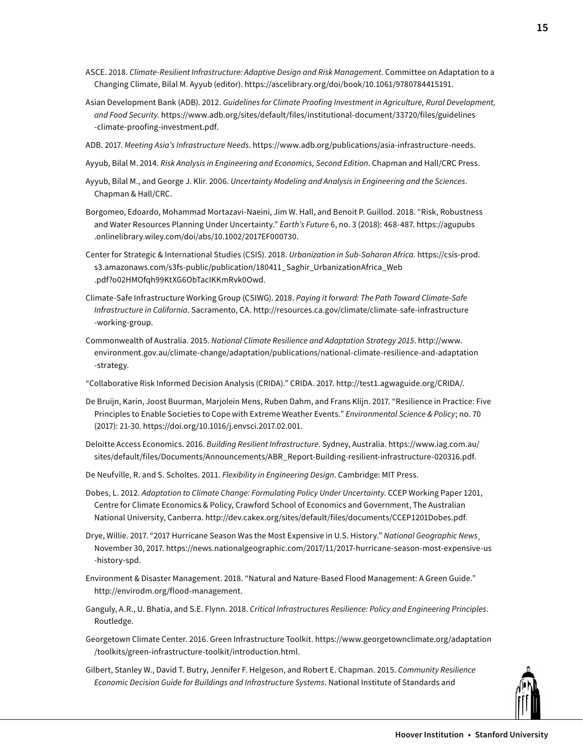- ASCE. 2018. *Climate-Resilient Infrastructure: Adaptive Design and Risk Management*. Committee on Adaptation to a Changing Climate, Bilal M. Ayyub (editor). <https://ascelibrary.org/doi/book/10.1061/9780784415191>.
- Asian Development Bank (ADB). 2012. *Guidelines for Climate Proofing Investment in Agriculture, Rural Development, and Food Security*. [https://www.adb.org/sites/default/files/institutional-document/33720/files/guidelines](https://www.adb.org/sites/default/files/institutional-document/33720/files/guidelines-climate-proofing-investment.pdf) [-climate-proofing-investment.pdf.](https://www.adb.org/sites/default/files/institutional-document/33720/files/guidelines-climate-proofing-investment.pdf)
- ADB. 2017. *Meeting Asia's Infrastructure Needs*. [https://www.adb.org/publications/asia-](https://www.adb.org/publications/asia-infrastructure-needs)infrastructure-needs.
- Ayyub, Bilal M. 2014. *Risk Analysis in Engineering and Economics, Second Edition*. Chapman and Hall/CRC Press.
- Ayyub, Bilal M., and George J. Klir. 2006. *Uncertainty Modeling and Analysis in Engineering and the Sciences*. Chapman & Hall/CRC.
- Borgomeo, Edoardo, Mohammad Mortazavi-Naeini, Jim W. Hall, and Benoit P. Guillod. 2018. "Risk, Robustness and Water Resources Planning Under Uncertainty." *Earth's Future* 6, no. 3 (2018): 468-487. [https://agupubs](https://agupubs.onlinelibrary.wiley.com/doi/abs/10.1002/2017EF000730) [.onlinelibrary.wiley.com/doi/abs/10.1002/2017EF000730](https://agupubs.onlinelibrary.wiley.com/doi/abs/10.1002/2017EF000730).
- Center for Strategic & International Studies (CSIS). 2018. *Urbanization in Sub-Saharan Africa.* [https://csis-prod.](https://csis-prod.s3.amazonaws.com/s3fs-public/publication/180411_Saghir_UrbanizationAfrica_Web.pdf?o02HMOfqh99KtXG6ObTacIKKmRvk0Owd) [s3.amazonaws.com/s3fs-public/publication/180411\\_Saghir\\_UrbanizationAfrica\\_Web](https://csis-prod.s3.amazonaws.com/s3fs-public/publication/180411_Saghir_UrbanizationAfrica_Web.pdf?o02HMOfqh99KtXG6ObTacIKKmRvk0Owd) [.pdf?o02HMOfqh99KtXG6ObTacIKKmRvk0Owd.](https://csis-prod.s3.amazonaws.com/s3fs-public/publication/180411_Saghir_UrbanizationAfrica_Web.pdf?o02HMOfqh99KtXG6ObTacIKKmRvk0Owd)
- Climate-Safe Infrastructure Working Group (CSIWG). 2018. *Paying it forward: The Path Toward Climate-Safe Infrastructure in California*. Sacramento, CA. [http://resources.ca.gov/climate/climate](http://resources.ca.gov/climate/climate-safe-infrastructure-working-group)-safe-infrastructure -working-group.
- Commonwealth of Australia. 2015. *National Climate Resilience and Adaptation Strategy 2015*. [http://www.](http://www.environment.gov.au/climate-change/adaptation/publications/national-climate-resilience-and-adaptation-strategy) [environment.gov.au/climate-change/adaptation/publications/national](http://www.environment.gov.au/climate-change/adaptation/publications/national-climate-resilience-and-adaptation-strategy)-climate-resilience-and-adaptation -strategy.
- "Collaborative Risk Informed Decision Analysis (CRIDA)." CRIDA. 2017. [http://test1.agwaguide.org/CRIDA](http://test1.agwaguide.org/CRIDA/)/.
- De Bruijn, Karin, Joost Buurman, Marjolein Mens, Ruben Dahm, and Frans Klijn. 2017. "Resilience in Practice: Five Principles to Enable Societies to Cope with Extreme Weather Events." *Environmental Science & Policy*; no. 70 (2017): 21-30. [https://doi.org/10.1016/j.envsci.2017.02.001.](https://doi.org/10.1016/j.envsci.2017.02.001)
- Deloitte Access Economics. 2016. *Building Resilient Infrastructure*. Sydney, Australia. [https://www.iag.com.au/](https://www.iag.com.au/sites/default/files/Documents/Announcements/ABR_Report-Building-resilient-infrastructure-020316.pdf) [sites/default/files/Documents/Announcements/ABR\\_Report-Building-resilient-infrastructure-020316.pdf](https://www.iag.com.au/sites/default/files/Documents/Announcements/ABR_Report-Building-resilient-infrastructure-020316.pdf).
- De Neufville, R. and S. Scholtes. 2011. *Flexibility in Engineering Design*. Cambridge: MIT Press.
- Dobes, L. 2012. *Adaptation to Climate Change: Formulating Policy Under Uncertainty*. CCEP Working Paper 1201, Centre for Climate Economics & Policy, Crawford School of Economics and Government, The Australian National University, Canberra. <http://dev.cakex.org/sites/default/files/documents/CCEP1201Dobes.pdf>.
- Drye, Willie. 2017. "2017 Hurricane Season Was the Most Expensive in U.S. History." *National Geographic News*¸ November 30, 2017. [https://news.nationalgeographic.com/2017/11/2017-](https://news.nationalgeographic.com/2017/11/2017-hurricane-season-most-expensive-us-history-spd)hurricane-season-most-expensive-us -history-spd.
- Environment & Disaster Management. 2018. "Natural and Nature-Based Flood Management: A Green Guide." [http://envirodm.org/flood-](http://envirodm.org/flood-management)management.
- Ganguly, A.R., U. Bhatia, and S.E. Flynn. 2018. *Critical Infrastructures Resilience: Policy and Engineering Principles*. Routledge.
- Georgetown Climate Center. 2016. Green Infrastructure Toolkit. [https://www.georgetownclimate.org/adaptation](https://www.georgetownclimate.org/adaptation/toolkits/green-infrastructure-toolkit/introduction.html) [/toolkits/green-infrastructure-toolkit/introduction.html.](https://www.georgetownclimate.org/adaptation/toolkits/green-infrastructure-toolkit/introduction.html)
- Gilbert, Stanley W., David T. Butry, Jennifer F. Helgeson, and Robert E. Chapman. 2015. *Community Resilience Economic Decision Guide for Buildings and Infrastructure Systems*. National Institute of Standards and

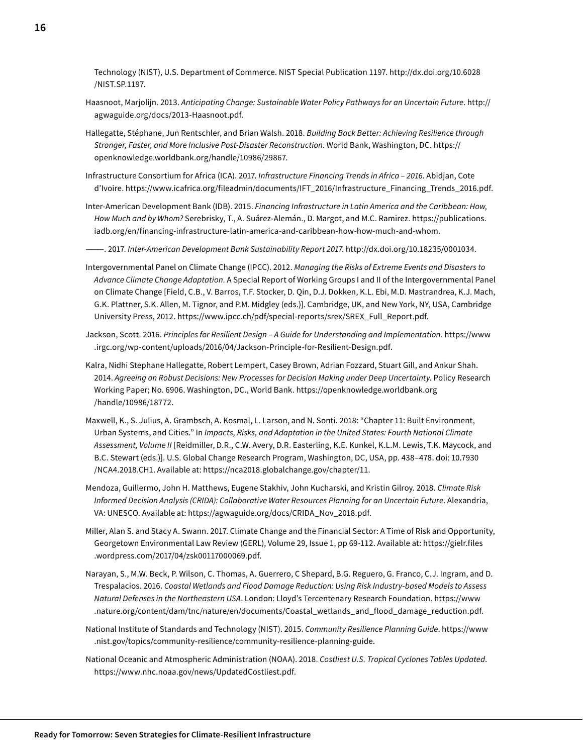Technology (NIST), U.S. Department of Commerce. NIST Special Publication 1197. [http://dx.doi.org/10.6028](http://dx.doi.org/10.6028/NIST.SP.1197) [/NIST.SP.1197.](http://dx.doi.org/10.6028/NIST.SP.1197)

- Haasnoot, Marjolijn. 2013. *Anticipating Change: Sustainable Water Policy Pathways for an Uncertain Future*. [http://](http://agwaguide.org/docs/2013-Haasnoot.pdf) [agwaguide.org/docs/2013-Haasnoot.pdf.](http://agwaguide.org/docs/2013-Haasnoot.pdf)
- Hallegatte, Stéphane, Jun Rentschler, and Brian Walsh. 2018. *Building Back Better: Achieving Resilience through Stronger, Faster, and More Inclusive Post-Disaster Reconstruction*. World Bank, Washington, DC. [https://](https://openknowledge.worldbank.org/handle/10986/29867) [openknowledge.worldbank.org/handle/10986/29867](https://openknowledge.worldbank.org/handle/10986/29867).
- Infrastructure Consortium for Africa (ICA). 2017. *Infrastructure Financing Trends in Africa 2016*. Abidjan, Cote d'Ivoire. [https://www.icafrica.org/fileadmin/documents/IFT\\_2016/Infrastructure\\_Financing\\_Trends\\_2016.pdf.](https://www.icafrica.org/fileadmin/documents/IFT_2016/Infrastructure_Financing_Trends_2016.pdf)

Inter-American Development Bank (IDB). 2015. *Financing Infrastructure in Latin America and the Caribbean: How, How Much and by Whom?* Serebrisky, T., A. Suárez-Alemán., D. Margot, and M.C. Ramirez. https://publications. iadb.org/en/financing-infrastructure-latin-america-and-caribbean-how-how-much-and-whom.

———. 2017. *Inter-American Development Bank Sustainability Report 2017*.<http://dx.doi.org/10.18235/0001034>.

- Intergovernmental Panel on Climate Change (IPCC). 2012. *Managing the Risks of Extreme Events and Disasters to Advance Climate Change Adaptation*. A Special Report of Working Groups I and II of the Intergovernmental Panel on Climate Change [Field, C.B., V. Barros, T.F. Stocker, D. Qin, D.J. Dokken, K.L. Ebi, M.D. Mastrandrea, K.J. Mach, G.K. Plattner, S.K. Allen, M. Tignor, and P.M. Midgley (eds.)]. Cambridge, UK, and New York, NY, USA, Cambridge University Press, 2012. [https://www.ipcc.ch/pdf/special-reports/srex/SREX\\_Full\\_Report.pdf](https://www.ipcc.ch/pdf/special-reports/srex/SREX_Full_Report.pdf).
- Jackson, Scott. 2016. *Principles for Resilient Design A Guide for Understanding and Implementation.* [https://www](https://www.irgc.org/wp-content/uploads/2016/04/Jackson-Principle-for-Resilient-Design.pdf) [.irgc.org/wp-content/uploads/2016/04/Jackson-Principle-for-Resilient-Design.pdf](https://www.irgc.org/wp-content/uploads/2016/04/Jackson-Principle-for-Resilient-Design.pdf).
- Kalra, Nidhi Stephane Hallegatte, Robert Lempert, Casey Brown, Adrian Fozzard, Stuart Gill, and Ankur Shah. 2014. *Agreeing on Robust Decisions: New Processes for Decision Making under Deep Uncertainty*. Policy Research Working Paper; No. 6906. Washington, DC., World Bank. [https://openknowledge.worldbank.org](https://openknowledge.worldbank.org/handle/10986/18772) [/handle/10986/18772](https://openknowledge.worldbank.org/handle/10986/18772).
- Maxwell, K., S. Julius, A. Grambsch, A. Kosmal, L. Larson, and N. Sonti. 2018: "Chapter 11: Built Environment, Urban Systems, and Cities." In *Impacts, Risks, and Adaptation in the United States: Fourth National Climate Assessment, Volume II* [Reidmiller, D.R., C.W. Avery, D.R. Easterling, K.E. Kunkel, K.L.M. Lewis, T.K. Maycock, and B.C. Stewart (eds.)]. U.S. Global Change Research Program, Washington, DC, USA, pp. 438–478. doi: [10.7930](10.7930/NCA4.2018.CH) [/NCA4.2018.CH](10.7930/NCA4.2018.CH)1. Available at: [https://nca2018.globalchange.gov/chapter/11.](https://nca2018.globalchange.gov/chapter/11)
- Mendoza, Guillermo, John H. Matthews, Eugene Stakhiv, John Kucharski, and Kristin Gilroy. 2018. *Climate Risk Informed Decision Analysis (CRIDA): Collaborative Water Resources Planning for an Uncertain Future*. Alexandria, VA: UNESCO. Available at: [https://agwaguide.org/docs/CRIDA\\_Nov\\_2018.pdf](https://agwaguide.org/docs/CRIDA_Nov_2018.pdf).
- Miller, Alan S. and Stacy A. Swann. 2017. Climate Change and the Financial Sector: A Time of Risk and Opportunity, Georgetown Environmental Law Review (GERL), Volume 29, Issue 1, pp 69-112. Available at: [https://gielr.files](https://gielr.files.wordpress.com/2017/04/zsk00117000069.pdf) [.wordpress.com/2017/04/zsk00117000069.pdf.](https://gielr.files.wordpress.com/2017/04/zsk00117000069.pdf)
- Narayan, S., M.W. Beck, P. Wilson, C. Thomas, A. Guerrero, C Shepard, B.G. Reguero, G. Franco, C.J. Ingram, and D. Trespalacios. 2016. *Coastal Wetlands and Flood Damage Reduction: Using Risk Industry-based Models to Assess Natural Defenses in the Northeastern USA*. London: Lloyd's Tercentenary Research Foundation. [https://www](https://www.nature.org/content/dam/tnc/nature/en/documents/Coastal_wetlands_and_flood_damage_reduction.pdf) [.nature.org/content/dam/tnc/nature/en/documents/Coastal\\_wetlands\\_and\\_flood\\_damage\\_reduction.pdf.](https://www.nature.org/content/dam/tnc/nature/en/documents/Coastal_wetlands_and_flood_damage_reduction.pdf)
- National Institute of Standards and Technology (NIST). 2015. *Community Resilience Planning Guide*. [https://www](https://www.nist.gov/topics/community-resilience/community-resilience-planning-guide) [.nist.gov/topics/community-resilience/community](https://www.nist.gov/topics/community-resilience/community-resilience-planning-guide)-resilience-planning-guide.
- National Oceanic and Atmospheric Administration (NOAA). 2018. *Costliest U.S. Tropical Cyclones Tables Updated*. [https://www.nhc.noaa.gov/news/UpdatedCostliest.pdf.](https://www.nhc.noaa.gov/news/UpdatedCostliest.pdf)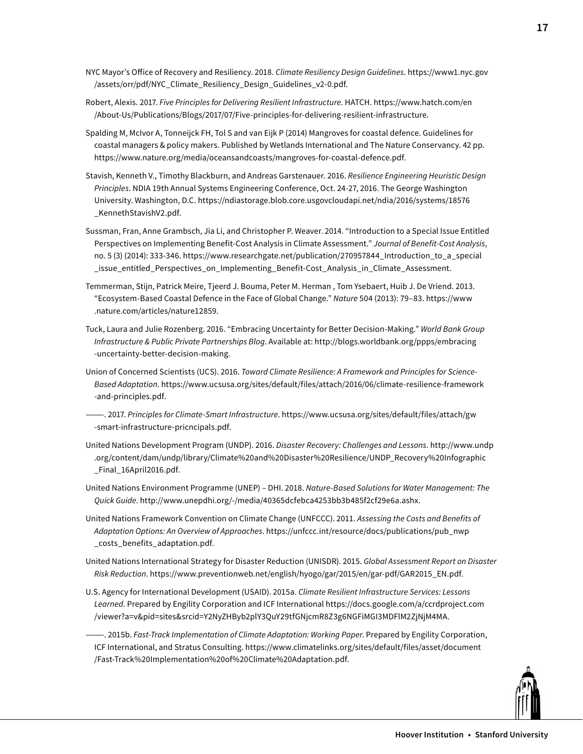- NYC Mayor's Office of Recovery and Resiliency. 2018. *Climate Resiliency Design Guidelines*. [https://www1.nyc.gov](https://www1.nyc.gov/assets/orr/pdf/NYC_Climate_Resiliency_Design_Guidelines_v2-0.pdf) [/assets/orr/pdf/NYC\\_Climate\\_Resiliency\\_Design\\_Guidelines\\_v2-0.pdf](https://www1.nyc.gov/assets/orr/pdf/NYC_Climate_Resiliency_Design_Guidelines_v2-0.pdf).
- Robert, Alexis. 2017. *Five Principles for Delivering Resilient Infrastructure*. HATCH. [https://www.hatch.com/en](https://www.hatch.com/en/About-Us/Publications/Blogs/2017/07/Five-principles-for-delivering-resilient-infrastructure) [/About-Us/Publications/Blogs/2017/07/Five](https://www.hatch.com/en/About-Us/Publications/Blogs/2017/07/Five-principles-for-delivering-resilient-infrastructure)-principles-for-delivering-resilient-infrastructure.
- Spalding M, McIvor A, Tonneijck FH, Tol S and van Eijk P (2014) Mangroves for coastal defence. Guidelines for coastal managers & policy makers. Published by Wetlands International and The Nature Conservancy. 42 pp. <https://www.nature.org/media/oceansandcoasts/mangroves-for-coastal-defence.pdf>.
- Stavish, Kenneth V., Timothy Blackburn, and Andreas Garstenauer. 2016. *Resilience Engineering Heuristic Design Principles*. NDIA 19th Annual Systems Engineering Conference, Oct. 24-27, 2016. The George Washington University. Washington, D.C. [https://ndiastorage.blob.core.usgovcloudapi.net/ndia/2016/systems/18576](https://ndiastorage.blob.core.usgovcloudapi.net/ndia/2016/systems/18576_KennethStavishV2.pdf) [\\_KennethStavishV2.pdf](https://ndiastorage.blob.core.usgovcloudapi.net/ndia/2016/systems/18576_KennethStavishV2.pdf).
- Sussman, Fran, Anne Grambsch, Jia Li, and Christopher P. Weaver. 2014. "Introduction to a Special Issue Entitled Perspectives on Implementing Benefit-Cost Analysis in Climate Assessment." *Journal of Benefit-Cost Analysis*, no. 5 (3) (2014): 333-346. [https://www.researchgate.net/publication/270957844\\_Introduction\\_to\\_a\\_special](https://www.researchgate.net/publication/270957844_Introduction_to_a_special_issue_entitled_Perspectives_on_Implementing_Benefit-Cost_Analysis_in_Climate_Assessment) [\\_issue\\_entitled\\_Perspectives\\_on\\_Implementing\\_Benefit](https://www.researchgate.net/publication/270957844_Introduction_to_a_special_issue_entitled_Perspectives_on_Implementing_Benefit-Cost_Analysis_in_Climate_Assessment)-Cost\_Analysis\_in\_Climate\_Assessment.
- Temmerman, Stijn, Patrick Meire, Tjeerd J. Bouma, Peter M. Herman , Tom Ysebaert, Huib J. De Vriend. 2013. "Ecosystem-Based Coastal Defence in the Face of Global Change." *Nature* 504 (2013): 79–83. [https://www](https://www.nature.com/articles/nature12859) [.nature.com/articles/nature12859](https://www.nature.com/articles/nature12859).
- Tuck, Laura and Julie Rozenberg. 2016. "Embracing Uncertainty for Better Decision-Making." *World Bank Group Infrastructure & Public Private Partnerships Blog*. Available at: [http://blogs.worldbank.org/ppps/embracing](http://blogs.worldbank.org/ppps/embracing-uncertainty-better-decision-making) -uncertainty-better-decision-making.
- Union of Concerned Scientists (UCS). 2016. *Toward Climate Resilience: A Framework and Principles for Science-Based Adaptation*. [https://www.ucsusa.org/sites/default/files/attach/2016/06/climate-resilience-framework](https://www.ucsusa.org/sites/default/files/attach/2016/06/climate-resilience-framework-and-principles.pdf) [-and-principles.pdf](https://www.ucsusa.org/sites/default/files/attach/2016/06/climate-resilience-framework-and-principles.pdf).
- ———. 2017. *Principles for Climate-Smart Infrastructure*. [https://www.ucsusa.org/sites/default/files/attach/gw](https://www.ucsusa.org/sites/default/files/attach/gw-smart-infrastructure-pricncipals.pdf) [-smart-infrastructure-pricncipals.pdf.](https://www.ucsusa.org/sites/default/files/attach/gw-smart-infrastructure-pricncipals.pdf)
- United Nations Development Program (UNDP). 2016. *Disaster Recovery: Challenges and Lessons*. [http://www.undp](http://www.undp.org/content/dam/undp/library/Climate%20and%20Disaster%20Resilience/UNDP_Recovery%20Infographic_Final_16April2016.pdf) [.org/content/dam/undp/library/Climate](http://www.undp.org/content/dam/undp/library/Climate%20and%20Disaster%20Resilience/UNDP_Recovery%20Infographic_Final_16April2016.pdf)%20and%20Disaster%20Resilience/UNDP\_Recovery%[20Infographic](20Infographic_Final_16April2016.pdf) Final\_16April2016.pdf.
- United Nations Environment Programme (UNEP) DHI. 2018. *Nature-Based Solutions for Water Management: The Quick Guide*. [http://www.unepdhi.org/-/media/40365dcfebca4253bb3b485f2cf29e6a.ashx.](http://www.unepdhi.org/-/media/40365dcfebca4253bb3b485f2cf29e6a.ashx)
- United Nations Framework Convention on Climate Change (UNFCCC). 2011. *Assessing the Costs and Benefits of Adaptation Options: An Overview of Approaches*. [https://unfccc.int/resource/docs/publications/pub\\_nwp](https://unfccc.int/resource/docs/publications/pub_nwp_costs_benefits_adaptation.pdf) [\\_costs\\_benefits\\_adaptation.pdf.](https://unfccc.int/resource/docs/publications/pub_nwp_costs_benefits_adaptation.pdf)
- United Nations International Strategy for Disaster Reduction (UNISDR). 2015. *Global Assessment Report on Disaster Risk Reduction*. [https://www.preventionweb.net/english/hyogo/gar/2015/en/gar-pdf/GAR2015\\_EN.pdf.](https://www.preventionweb.net/english/hyogo/gar/2015/en/gar-pdf/GAR2015_EN.pdf)
- U.S. Agency for International Development (USAID). 2015a. *Climate Resilient Infrastructure Services: Lessons Learned*. Prepared by Engility Corporation and ICF International [https://docs.google.com/a/ccrdproject.com](https://docs.google.com/a/ccrdproject.com/viewer?a=v&pid=sites&srcid=Y2NyZHByb2plY3QuY29tfGNjcmR8Z3g6NGFiMGI3MDFlM2ZjNjM4MA) [/viewer?a=v&pid=sites&srcid=Y2NyZHByb2plY3QuY29tfGNjcmR8Z3g6NGFiMGI3MDFlM2ZjNjM4MA.](https://docs.google.com/a/ccrdproject.com/viewer?a=v&pid=sites&srcid=Y2NyZHByb2plY3QuY29tfGNjcmR8Z3g6NGFiMGI3MDFlM2ZjNjM4MA)
- ———. 2015b. *Fast-Track Implementation of Climate Adaptation: Working Paper*. Prepared by Engility Corporation, ICF International, and Stratus Consulting. [https://www.climatelinks.org/sites/default/files/asset/document](https://www.climatelinks.org/sites/default/files/asset/document/Fast-Track%20Implementation%20of%20Climate%20Adaptation.pdf) [/Fast-](https://www.climatelinks.org/sites/default/files/asset/document/Fast-Track%20Implementation%20of%20Climate%20Adaptation.pdf)Track%20Implementation%20of%20Climate%[20Adaptation.pdf.](https://www.climatelinks.org/sites/default/files/asset/document/Fast-Track%20Implementation%20of%20Climate%20Adaptation.pdf)

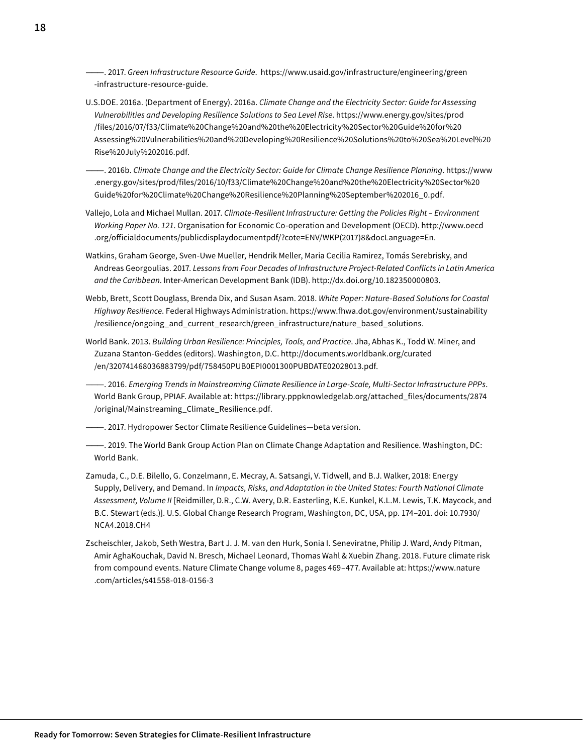———. 2017. *Green Infrastructure Resource Guide*. [https://www.usaid.gov/infrastructure/engineering/green](https://www.usaid.gov/infrastructure/engineering/green-infrastructure-resource-guide) -infrastructure-resource-guide.

U.S.DOE. 2016a. (Department of Energy). 2016a. *Climate Change and the Electricity Sector: Guide for Assessing Vulnerabilities and Developing Resilience Solutions to Sea Level Rise*. [https://www.energy.gov/sites/prod](https://www.energy.gov/sites/prod/files/2016/07/f33/Climate%20Change%20and%20the%20Electricity%20Sector%20Guide%20for%20Assessing%20Vulnerabilities%20and%20Developing%20Resilience%20Solutions%20to%20Sea%20Level%20Rise%20July%202016.pdf) [/files/2016/07/f33/Climate%](https://www.energy.gov/sites/prod/files/2016/07/f33/Climate%20Change%20and%20the%20Electricity%20Sector%20Guide%20for%20Assessing%20Vulnerabilities%20and%20Developing%20Resilience%20Solutions%20to%20Sea%20Level%20Rise%20July%202016.pdf)20Change%20and%20the%20Electricity%20Sector%20Guide%20for%20 Assessing%20Vulnerabilities%20and%20Developing%20Resilience%20Solutions%20to%20Sea%20Level%20 Rise%20July[%202016.pdf.](https://www.energy.gov/sites/prod/files/2016/07/f33/Climate%20Change%20and%20the%20Electricity%20Sector%20Guide%20for%20Assessing%20Vulnerabilities%20and%20Developing%20Resilience%20Solutions%20to%20Sea%20Level%20Rise%20July%202016.pdf)

———. 2016b. *Climate Change and the Electricity Sector: Guide for Climate Change Resilience Planning*. [https://www](https://www.energy.gov/sites/prod/files/2016/10/f33/Climate%20Change%20and%20the%20Electricity%20Sector%20Guide%20for%20Climate%20Change%20Resilience%20Planning%20September%202016_0.pdf) [.energy.gov/sites/prod/files/2016/10/f33/Climate%](https://www.energy.gov/sites/prod/files/2016/10/f33/Climate%20Change%20and%20the%20Electricity%20Sector%20Guide%20for%20Climate%20Change%20Resilience%20Planning%20September%202016_0.pdf)20Change%20and%20the%20Electricity%20Sector%20 Guide%20for%20Climate%20Change%20Resilience%20Planning%20September%[202016\\_0.pdf.](https://www.energy.gov/sites/prod/files/2016/10/f33/Climate%20Change%20and%20the%20Electricity%20Sector%20Guide%20for%20Climate%20Change%20Resilience%20Planning%20September%202016_0.pdf)

- Vallejo, Lola and Michael Mullan. 2017. *Climate-Resilient Infrastructure: Getting the Policies Right Environment Working Paper No. 121*. Organisation for Economic Co-operation and Development (OECD). [http://www.oecd](http://www.oecd.org/officialdocuments/publicdisplaydocumentpdf/?cote=ENV/WKP(2017)8&docLanguage=En) [.org/officialdocuments/publicdisplaydocumentpdf/?cote=ENV](http://www.oecd.org/officialdocuments/publicdisplaydocumentpdf/?cote=ENV/WKP(2017)8&docLanguage=En)/WKP(2017)8&docLanguage=En.
- Watkins, Graham George, Sven-Uwe Mueller, Hendrik Meller, Maria Cecilia Ramirez, Tomás Serebrisky, and Andreas Georgoulias. 2017. *Lessons from Four Decades of Infrastructure Project-Related Conflicts in Latin America and the Caribbean*. Inter-American Development Bank (IDB). [http://dx.doi.org/10.182350000803.](http://dx.doi.org/10.182350000803)
- Webb, Brett, Scott Douglass, Brenda Dix, and Susan Asam. 2018. *White Paper: Nature-Based Solutions for Coastal Highway Resilience*. Federal Highways Administration. [https://www.fhwa.dot.gov/environment/sustainability](https://www.fhwa.dot.gov/environment/sustainability/resilience/ongoing_and_current_research/green_infrastructure/nature_based_solutions/) [/resilience/ongoing\\_and\\_current\\_research/green\\_infrastructure/nature\\_based\\_solutions.](https://www.fhwa.dot.gov/environment/sustainability/resilience/ongoing_and_current_research/green_infrastructure/nature_based_solutions/)
- World Bank. 2013. *Building Urban Resilience: Principles, Tools, and Practice*. Jha, Abhas K., Todd W. Miner, and Zuzana Stanton-Geddes (editors). Washington, D.C. [http://documents.worldbank.org/curated](http://documents.worldbank.org/curated/en/320741468036883799/pdf/758450PUB0EPI0001300PUBDATE02028013.pdf) [/en/320741468036883799/pdf/758450PUB0EPI0001300PUBDATE02028013.pdf](http://documents.worldbank.org/curated/en/320741468036883799/pdf/758450PUB0EPI0001300PUBDATE02028013.pdf).
- ———. 2016. *Emerging Trends in Mainstreaming Climate Resilience in Large-Scale, Multi-Sector Infrastructure PPPs*. World Bank Group, PPIAF. Available at: [https://library.pppknowledgelab.org/attached\\_files/documents/2874](https://library.pppknowledgelab.org/attached_files/documents/2874/original/Mainstreaming_Climate_Resilience.pdf) [/original/Mainstreaming\\_Climate\\_Resilience.pdf.](https://library.pppknowledgelab.org/attached_files/documents/2874/original/Mainstreaming_Climate_Resilience.pdf)
- ———. 2017. Hydropower Sector Climate Resilience Guidelines—beta version.
- ———. 2019. The World Bank Group Action Plan on Climate Change Adaptation and Resilience. Washington, DC: World Bank.
- Zamuda, C., D.E. Bilello, G. Conzelmann, E. Mecray, A. Satsangi, V. Tidwell, and B.J. Walker, 2018: Energy Supply, Delivery, and Demand. In *Impacts, Risks, and Adaptation in the United States: Fourth National Climate Assessment, Volume II* [Reidmiller, D.R., C.W. Avery, D.R. Easterling, K.E. Kunkel, K.L.M. Lewis, T.K. Maycock, and B.C. Stewart (eds.)]. U.S. Global Change Research Program, Washington, DC, USA, pp. 174–201. doi: 10.7930/ NCA4.2018.CH4
- Zscheischler, Jakob, Seth Westra, Bart J. J. M. van den Hurk, Sonia I. Seneviratne, Philip J. Ward, Andy Pitman, Amir AghaKouchak, David N. Bresch, Michael Leonard, Thomas Wahl & Xuebin Zhang. 2018. Future climate risk from compound events. Nature Climate Change volume 8, pages 469–477. Available at: [https://www.nature](https://www.nature.com/articles/s41558-018-0156-3) [.com/articles/s41558-](https://www.nature.com/articles/s41558-018-0156-3)018-0156-3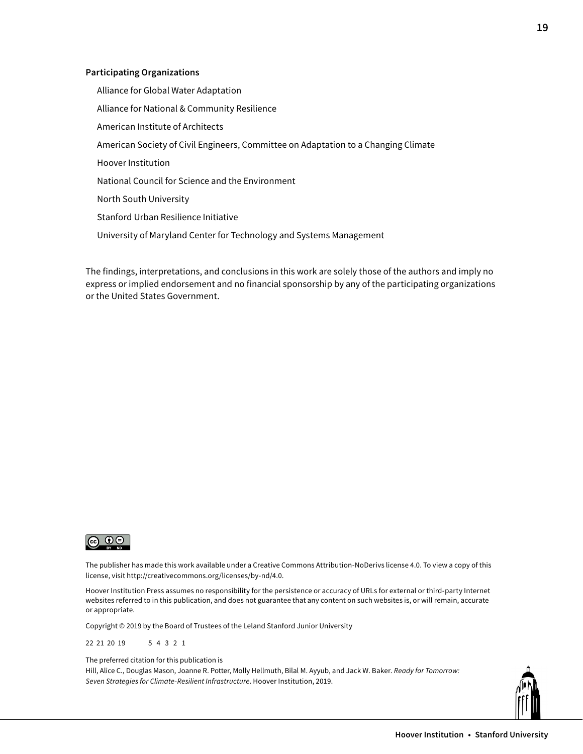#### **Participating Organizations**

Alliance for Global Water Adaptation Alliance for National & Community Resilience American Institute of Architects American Society of Civil Engineers, Committee on Adaptation to a Changing Climate Hoover Institution National Council for Science and the Environment North South University Stanford Urban Resilience Initiative University of Maryland Center for Technology and Systems Management

The findings, interpretations, and conclusions in this work are solely those of the authors and imply no express or implied endorsement and no financial sponsorship by any of the participating organizations or the United States Government.



The publisher has made this work available under a Creative Commons Attribution-NoDerivs license 4.0. To view a copy of this license, visit [http://creativecommons.org/licenses/by-](http://creativecommons.org/licenses/by-nd/4.0)nd/4.0.

Hoover Institution Press assumes no responsibility for the persistence or accuracy of URLs for external or third-party Internet websites referred to in this publication, and does not guarantee that any content on such websites is, or will remain, accurate or appropriate.

Copyright © 2019 by the Board of Trustees of the Leland Stanford Junior University

22 21 20 19 5 4 3 2 1

The preferred citation for this publication is

Hill, Alice C., Douglas Mason, Joanne R. Potter, Molly Hellmuth, Bilal M. Ayyub, and Jack W. Baker. *Ready for Tomorrow: Seven Strategies for Climate-Resilient Infrastructure*. Hoover Institution, 2019.